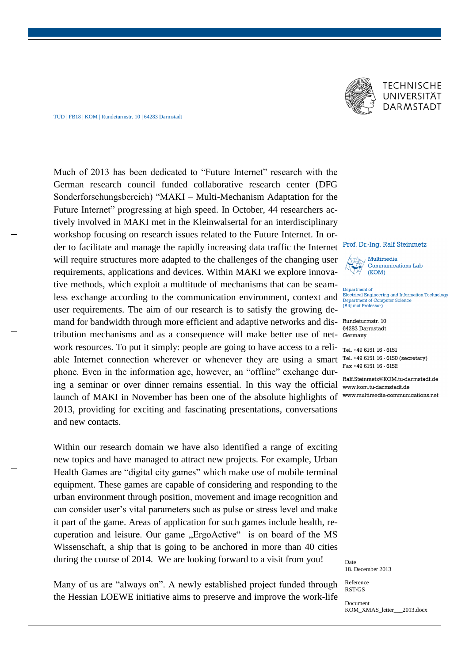## TUD | FB18 | KOM | Rundeturmstr. 10 | 64283 Darmstadt



## **TECHNISCHE** UNIVERSITÄT **DARMSTADT**

Much of 2013 has been dedicated to "Future Internet" research with the German research council funded collaborative research center (DFG Sonderforschungsbereich) "MAKI – Multi-Mechanism Adaptation for the Future Internet" progressing at high speed. In October, 44 researchers actively involved in MAKI met in the Kleinwalsertal for an interdisciplinary workshop focusing on research issues related to the Future Internet. In order to facilitate and manage the rapidly increasing data traffic the Internet will require structures more adapted to the challenges of the changing user requirements, applications and devices. Within MAKI we explore innovative methods, which exploit a multitude of mechanisms that can be seamless exchange according to the communication environment, context and user requirements. The aim of our research is to satisfy the growing demand for bandwidth through more efficient and adaptive networks and distribution mechanisms and as a consequence will make better use of network resources. To put it simply: people are going to have access to a reliable Internet connection wherever or whenever they are using a smart phone. Even in the information age, however, an "offline" exchange during a seminar or over dinner remains essential. In this way the official launch of MAKI in November has been one of the absolute highlights of 2013, providing for exciting and fascinating presentations, conversations and new contacts.

Within our research domain we have also identified a range of exciting new topics and have managed to attract new projects. For example, Urban Health Games are "digital city games" which make use of mobile terminal equipment. These games are capable of considering and responding to the urban environment through position, movement and image recognition and can consider user's vital parameters such as pulse or stress level and make it part of the game. Areas of application for such games include health, recuperation and leisure. Our game "ErgoActive" is on board of the MS Wissenschaft, a ship that is going to be anchored in more than 40 cities during the course of 2014. We are looking forward to a visit from you!

Many of us are "always on". A newly established project funded through the Hessian LOEWE initiative aims to preserve and improve the work-life

## Prof. Dr.-Ing. Ralf Steinmetz

Multimedia Communications Lab  $(KOM)$ 

Department of Electrical Engineering and Information Technology Department of Computer Science (Adjunct Professor)

Rundeturmstr. 10 64283 Darmstadt Germany

Tel. +49 6151 16 - 6151 Tel. +49 6151 16 - 6150 (secretary) Fax +49 6151 16 - 6152

Ralf Steinmetz@KOM tu-darmstadt de www.kom.tu-darmstadt.de www.multimedia-communications.net

Date 18. December 2013

Reference RST/GS

Document KOM\_XMAS\_letter\_\_\_2013.docx